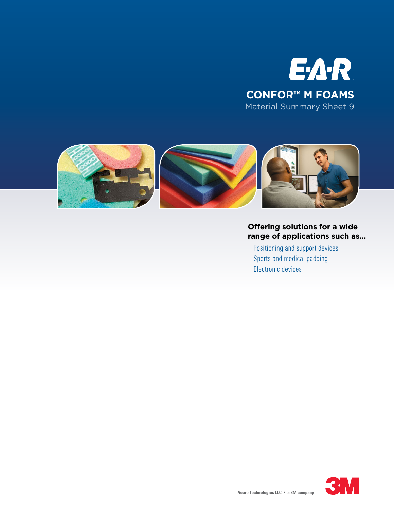



## **Offering solutions for a wide range of applications such as...**

Positioning and support devices Sports and medical padding Electronic devices